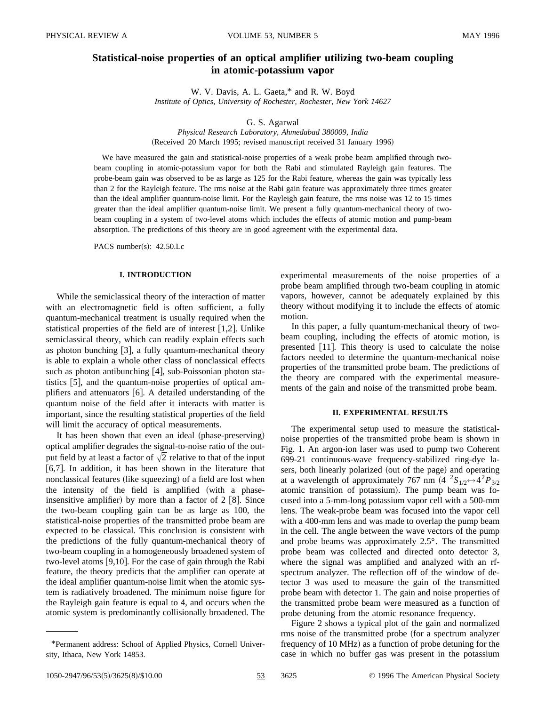# **Statistical-noise properties of an optical amplifier utilizing two-beam coupling in atomic-potassium vapor**

W. V. Davis, A. L. Gaeta,\* and R. W. Boyd *Institute of Optics, University of Rochester, Rochester, New York 14627*

G. S. Agarwal

*Physical Research Laboratory, Ahmedabad 380009, India* (Received 20 March 1995; revised manuscript received 31 January 1996)

We have measured the gain and statistical-noise properties of a weak probe beam amplified through twobeam coupling in atomic-potassium vapor for both the Rabi and stimulated Rayleigh gain features. The probe-beam gain was observed to be as large as 125 for the Rabi feature, whereas the gain was typically less than 2 for the Rayleigh feature. The rms noise at the Rabi gain feature was approximately three times greater than the ideal amplifier quantum-noise limit. For the Rayleigh gain feature, the rms noise was 12 to 15 times greater than the ideal amplifier quantum-noise limit. We present a fully quantum-mechanical theory of twobeam coupling in a system of two-level atoms which includes the effects of atomic motion and pump-beam absorption. The predictions of this theory are in good agreement with the experimental data.

PACS number(s):  $42.50$ .Lc

### **I. INTRODUCTION**

While the semiclassical theory of the interaction of matter with an electromagnetic field is often sufficient, a fully quantum-mechanical treatment is usually required when the statistical properties of the field are of interest  $[1,2]$ . Unlike semiclassical theory, which can readily explain effects such as photon bunching  $\lceil 3 \rceil$ , a fully quantum-mechanical theory is able to explain a whole other class of nonclassical effects such as photon antibunching  $[4]$ , sub-Poissonian photon statistics  $[5]$ , and the quantum-noise properties of optical amplifiers and attenuators  $[6]$ . A detailed understanding of the quantum noise of the field after it interacts with matter is important, since the resulting statistical properties of the field will limit the accuracy of optical measurements.

It has been shown that even an ideal (phase-preserving) optical amplifier degrades the signal-to-noise ratio of the output field by at least a factor of  $\sqrt{2}$  relative to that of the input [6,7]. In addition, it has been shown in the literature that nonclassical features (like squeezing) of a field are lost when the intensity of the field is amplified (with a phaseinsensitive amplifier) by more than a factor of  $2 \times 8$ . Since the two-beam coupling gain can be as large as 100, the statistical-noise properties of the transmitted probe beam are expected to be classical. This conclusion is consistent with the predictions of the fully quantum-mechanical theory of two-beam coupling in a homogeneously broadened system of two-level atoms  $[9,10]$ . For the case of gain through the Rabi feature, the theory predicts that the amplifier can operate at the ideal amplifier quantum-noise limit when the atomic system is radiatively broadened. The minimum noise figure for the Rayleigh gain feature is equal to 4, and occurs when the atomic system is predominantly collisionally broadened. The

experimental measurements of the noise properties of a probe beam amplified through two-beam coupling in atomic vapors, however, cannot be adequately explained by this theory without modifying it to include the effects of atomic motion.

In this paper, a fully quantum-mechanical theory of twobeam coupling, including the effects of atomic motion, is presented  $[11]$ . This theory is used to calculate the noise factors needed to determine the quantum-mechanical noise properties of the transmitted probe beam. The predictions of the theory are compared with the experimental measurements of the gain and noise of the transmitted probe beam.

## **II. EXPERIMENTAL RESULTS**

The experimental setup used to measure the statisticalnoise properties of the transmitted probe beam is shown in Fig. 1. An argon-ion laser was used to pump two Coherent 699-21 continuous-wave frequency-stabilized ring-dye lasers, both linearly polarized (out of the page) and operating at a wavelength of approximately 767 nm  $(4 \ {}^2S_{1/2} \leftrightarrow 4^2P_{3/2})$ atomic transition of potassium). The pump beam was focused into a 5-mm-long potassium vapor cell with a 500-mm lens. The weak-probe beam was focused into the vapor cell with a 400-mm lens and was made to overlap the pump beam in the cell. The angle between the wave vectors of the pump and probe beams was approximately 2.5°. The transmitted probe beam was collected and directed onto detector 3, where the signal was amplified and analyzed with an rfspectrum analyzer. The reflection off of the window of detector 3 was used to measure the gain of the transmitted probe beam with detector 1. The gain and noise properties of the transmitted probe beam were measured as a function of probe detuning from the atomic resonance frequency.

Figure 2 shows a typical plot of the gain and normalized rms noise of the transmitted probe (for a spectrum analyzer frequency of 10 MHz) as a function of probe detuning for the case in which no buffer gas was present in the potassium

1050-2947/96/53(5)/3625(8)/\$10.00 53 3625 © 1996 The American Physical Society

<sup>\*</sup>Permanent address: School of Applied Physics, Cornell University, Ithaca, New York 14853.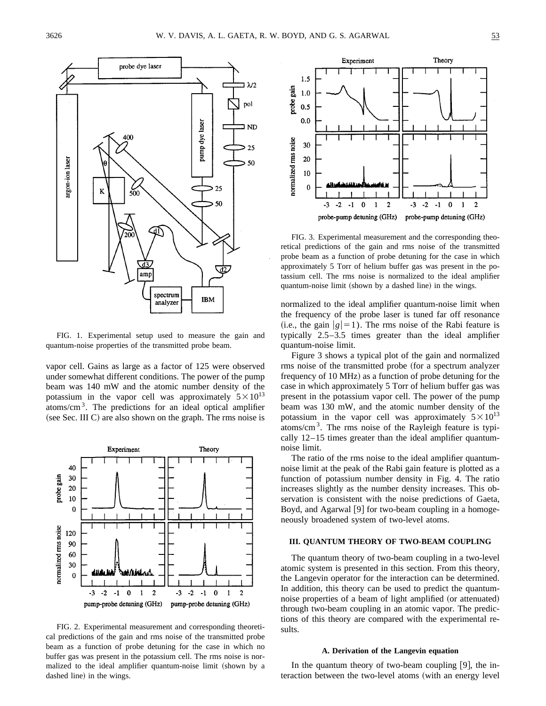

FIG. 1. Experimental setup used to measure the gain and quantum-noise properties of the transmitted probe beam.

vapor cell. Gains as large as a factor of 125 were observed under somewhat different conditions. The power of the pump beam was 140 mW and the atomic number density of the potassium in the vapor cell was approximately  $5\times10^{13}$ atoms/ $\text{cm}^3$ . The predictions for an ideal optical amplifier (see Sec. III C) are also shown on the graph. The rms noise is



FIG. 2. Experimental measurement and corresponding theoretical predictions of the gain and rms noise of the transmitted probe beam as a function of probe detuning for the case in which no buffer gas was present in the potassium cell. The rms noise is normalized to the ideal amplifier quantum-noise limit (shown by a dashed line) in the wings.



FIG. 3. Experimental measurement and the corresponding theoretical predictions of the gain and rms noise of the transmitted probe beam as a function of probe detuning for the case in which approximately 5 Torr of helium buffer gas was present in the potassium cell. The rms noise is normalized to the ideal amplifier quantum-noise limit (shown by a dashed line) in the wings.

normalized to the ideal amplifier quantum-noise limit when the frequency of the probe laser is tuned far off resonance (i.e., the gain  $|g|=1$ ). The rms noise of the Rabi feature is typically 2.5–3.5 times greater than the ideal amplifier quantum-noise limit.

Figure 3 shows a typical plot of the gain and normalized rms noise of the transmitted probe (for a spectrum analyzer frequency of 10 MHz) as a function of probe detuning for the case in which approximately 5 Torr of helium buffer gas was present in the potassium vapor cell. The power of the pump beam was 130 mW, and the atomic number density of the potassium in the vapor cell was approximately  $5 \times 10^{13}$ atoms/ $\text{cm}^3$ . The rms noise of the Rayleigh feature is typically 12–15 times greater than the ideal amplifier quantumnoise limit.

The ratio of the rms noise to the ideal amplifier quantumnoise limit at the peak of the Rabi gain feature is plotted as a function of potassium number density in Fig. 4. The ratio increases slightly as the number density increases. This observation is consistent with the noise predictions of Gaeta, Boyd, and Agarwal  $[9]$  for two-beam coupling in a homogeneously broadened system of two-level atoms.

### **III. QUANTUM THEORY OF TWO-BEAM COUPLING**

The quantum theory of two-beam coupling in a two-level atomic system is presented in this section. From this theory, the Langevin operator for the interaction can be determined. In addition, this theory can be used to predict the quantumnoise properties of a beam of light amplified (or attenuated) through two-beam coupling in an atomic vapor. The predictions of this theory are compared with the experimental results.

### **A. Derivation of the Langevin equation**

In the quantum theory of two-beam coupling  $[9]$ , the interaction between the two-level atoms (with an energy level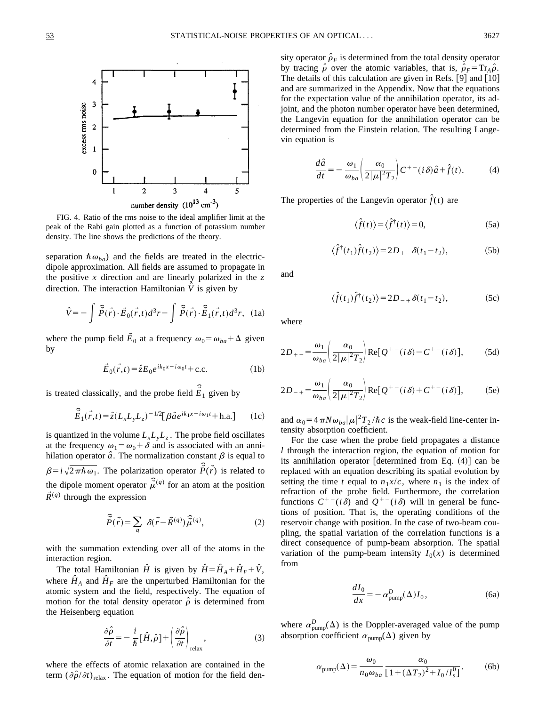

FIG. 4. Ratio of the rms noise to the ideal amplifier limit at the peak of the Rabi gain plotted as a function of potassium number density. The line shows the predictions of the theory.

separation  $\hbar \omega_{ba}$ ) and the fields are treated in the electricdipole approximation. All fields are assumed to propagate in the positive *x* direction and are linearly polarized in the *z* direction. The interaction Hamiltonian  $\hat{V}$  is given by

$$
\hat{V} = -\int \hat{P}(\vec{r}) \cdot \vec{E}_0(\vec{r}, t) d^3 r - \int \hat{P}(\vec{r}) \cdot \hat{E}_1(\vec{r}, t) d^3 r, \quad (1a)
$$

where the pump field  $\vec{E}_0$  at a frequency  $\omega_0 = \omega_{ba} + \Delta$  given by

$$
\vec{E}_0(\vec{r},t) = \hat{z}E_0 e^{ik_0 x - i\omega_0 t} + \text{c.c.}
$$
 (1b)

is treated classically, and the probe field  $\hat{\vec{E}}_1$  given by

$$
\hat{\vec{E}}_1(\vec{r},t) = \hat{z}(L_x L_y L_z)^{-1/2} [\beta \hat{a} e^{ik_1 x - i\omega_1 t} + \text{h.a.}] \qquad (1c)
$$

is quantized in the volume  $L_xL_yL_z$ . The probe field oscillates at the frequency  $\omega_1 = \omega_0 + \delta$  and is associated with an annihilation operator  $\hat{a}$ . The normalization constant  $\beta$  is equal to  $\beta = i\sqrt{2\pi\hbar\omega_1}$ . The polarization operator  $\vec{\hat{P}}(\vec{r})$  is related to  $\rho = \sqrt{2 \pi n \omega_1}$ . The potatization operator  $T(\tau)$  is related to<br>the dipole moment operator  $\hat{\mu}^{(q)}$  for an atom at the position  $\tilde{R}^{(q)}$  through the expression

$$
\hat{\vec{P}}(\vec{r}) = \sum_{q} \delta(\vec{r} - \vec{R}^{(q)}) \hat{\vec{\mu}}^{(q)},
$$
\n(2)

with the summation extending over all of the atoms in the interaction region.

The total Hamiltonian  $\hat{H}$  is given by  $\hat{H} = \hat{H}_A + \hat{H}_F + \hat{V}$ , where  $\hat{H}_A$  and  $\hat{H}_F$  are the unperturbed Hamiltonian for the atomic system and the field, respectively. The equation of motion for the total density operator  $\hat{\rho}$  is determined from the Heisenberg equation

$$
\frac{\partial \hat{\rho}}{\partial t} = -\frac{i}{\hbar} [\hat{H}, \hat{\rho}] + \left(\frac{\partial \hat{\rho}}{\partial t}\right)_{\text{relax}},
$$
(3)

where the effects of atomic relaxation are contained in the term  $(\partial \hat{\rho}/\partial t)_{relax}$ . The equation of motion for the field density operator  $\hat{\rho}_F$  is determined from the total density operator by tracing  $\hat{\rho}$  over the atomic variables, that is,  $\hat{\rho}_F = Tr_A \hat{\rho}$ . The details of this calculation are given in Refs.  $[9]$  and  $[10]$ and are summarized in the Appendix. Now that the equations for the expectation value of the annihilation operator, its adjoint, and the photon number operator have been determined, the Langevin equation for the annihilation operator can be determined from the Einstein relation. The resulting Langevin equation is

$$
\frac{d\hat{a}}{dt} = -\frac{\omega_1}{\omega_{ba}} \left( \frac{\alpha_0}{2|\mu|^2 T_2} \right) C^{+-}(i\delta)\hat{a} + \hat{f}(t). \tag{4}
$$

The properties of the Langevin operator  $\hat{f}(t)$  are

$$
\langle \hat{f}(t) \rangle = \langle \hat{f}^{\dagger}(t) \rangle = 0, \tag{5a}
$$

$$
\langle \hat{f}^{\dagger}(t_1)\hat{f}(t_2) \rangle = 2D_{+-}\delta(t_1 - t_2), \tag{5b}
$$

and

$$
\langle \hat{f}(t_1)\hat{f}^{\dagger}(t_2) \rangle = 2D_{-+}\delta(t_1 - t_2), \tag{5c}
$$

where

$$
2D_{+-} = \frac{\omega_1}{\omega_{ba}} \left( \frac{\alpha_0}{2|\mu|^2 T_2} \right) \text{Re}[Q^{+-}(i\delta) - C^{+-}(i\delta)], \tag{5d}
$$

$$
2D_{-+} = \frac{\omega_1}{\omega_{ba}} \left( \frac{\alpha_0}{2|\mu|^2 T_2} \right) \text{Re}[Q^{+-}(i\delta) + C^{+-}(i\delta)], \tag{5e}
$$

and  $\alpha_0 = 4 \pi N \omega_{ba} |\mu|^2 T_2 / \hbar c$  is the weak-field line-center intensity absorption coefficient.

For the case when the probe field propagates a distance *l* through the interaction region, the equation of motion for its annihilation operator [determined from Eq.  $(4)$ ] can be replaced with an equation describing its spatial evolution by setting the time *t* equal to  $n_1x/c$ , where  $n_1$  is the index of refraction of the probe field. Furthermore, the correlation functions  $C^{+-}(i\delta)$  and  $Q^{+-}(i\delta)$  will in general be functions of position. That is, the operating conditions of the reservoir change with position. In the case of two-beam coupling, the spatial variation of the correlation functions is a direct consequence of pump-beam absorption. The spatial variation of the pump-beam intensity  $I_0(x)$  is determined from

$$
\frac{dI_0}{dx} = -\alpha_{\text{pump}}^D(\Delta)I_0,\tag{6a}
$$

where  $\alpha_{\text{pump}}^D(\Delta)$  is the Doppler-averaged value of the pump absorption coefficient  $\alpha_{\text{pump}}(\Delta)$  given by

$$
\alpha_{\text{pump}}(\Delta) = \frac{\omega_0}{n_0 \omega_{ba}} \frac{\alpha_0}{[1 + (\Delta T_2)^2 + I_0/I_s^0]}.
$$
 (6b)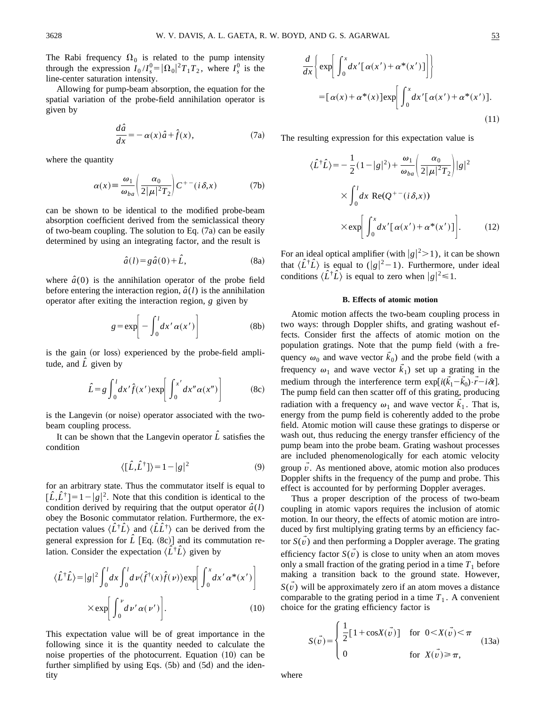The Rabi frequency  $\Omega_0$  is related to the pump intensity through the expression  $I_0/I_s^0 = |\Omega_0|^2 T_1 T_2$ , where  $I_s^0$  is the line-center saturation intensity.

Allowing for pump-beam absorption, the equation for the spatial variation of the probe-field annihilation operator is given by

$$
\frac{d\hat{a}}{dx} = -\alpha(x)\hat{a} + \hat{f}(x),\tag{7a}
$$

where the quantity

$$
\alpha(x) \equiv \frac{\omega_1}{\omega_{ba}} \left( \frac{\alpha_0}{2|\mu|^2 T_2} \right) C^{+-}(i\,\delta,x) \tag{7b}
$$

can be shown to be identical to the modified probe-beam absorption coefficient derived from the semiclassical theory of two-beam coupling. The solution to Eq.  $(7a)$  can be easily determined by using an integrating factor, and the result is

$$
\hat{a}(l) = g\hat{a}(0) + \hat{L},\tag{8a}
$$

where  $\hat{a}(0)$  is the annihilation operator of the probe field before entering the interaction region,  $\hat{a}(l)$  is the annihilation operator after exiting the interaction region, *g* given by

$$
g = \exp\left[-\int_0^l dx' \alpha(x')\right]
$$
 (8b)

is the gain (or loss) experienced by the probe-field amplitude, and  $\hat{L}$  given by

$$
\hat{L} = g \int_0^l dx' \hat{f}(x') \exp\left[\int_0^{x'} dx'' \alpha(x'')\right]
$$
 (8c)

is the Langevin (or noise) operator associated with the twobeam coupling process.

It can be shown that the Langevin operator  $\hat{L}$  satisfies the condition

$$
\langle [\hat{L}, \hat{L}^{\dagger}] \rangle = 1 - |g|^2 \tag{9}
$$

for an arbitrary state. Thus the commutator itself is equal to  $[\hat{L}, \hat{L}^{\dagger}] = 1 - |g|^2$ . Note that this condition is identical to the condition derived by requiring that the output operator  $\hat{a}(l)$ obey the Bosonic commutator relation. Furthermore, the expectation values  $\langle \hat{L}^{\dagger} \hat{L} \rangle$  and  $\langle \hat{L} \hat{L}^{\dagger} \rangle$  can be derived from the general expression for  $\hat{L}$  [Eq. (8c)] and its commutation relation. Consider the expectation  $\langle \hat{L}^{\dagger} \hat{L} \rangle$  given by

$$
\langle \hat{L}^{\dagger} \hat{L} \rangle = |g|^{2} \int_{0}^{l} dx \int_{0}^{l} dv \langle \hat{f}^{\dagger}(x) \hat{f}(\nu) \rangle \exp\left[ \int_{0}^{x} dx' \alpha^{*}(x') \right]
$$

$$
\times \exp\left[ \int_{0}^{\nu} d\nu' \alpha(\nu') \right]. \tag{10}
$$

This expectation value will be of great importance in the following since it is the quantity needed to calculate the noise properties of the photocurrent. Equation  $(10)$  can be further simplified by using Eqs.  $(5b)$  and  $(5d)$  and the identity

$$
\frac{d}{dx}\left\{\exp\left[\int_0^x dx'[\alpha(x') + \alpha^*(x')] \right]\right\}
$$

$$
= [\alpha(x) + \alpha^*(x)] \exp\left[\int_0^x dx'[\alpha(x') + \alpha^*(x')].
$$
\n(11)

The resulting expression for this expectation value is

$$
\langle \hat{L}^{\dagger} \hat{L} \rangle = -\frac{1}{2} (1 - |g|^2) + \frac{\omega_1}{\omega_{ba}} \left( \frac{\alpha_0}{2|\mu|^2 T_2} \right) |g|^2
$$

$$
\times \int_0^l dx \text{ Re}(Q^{+-}(i\delta, x))
$$

$$
\times \exp \left[ \int_0^x dx' [\alpha(x') + \alpha^*(x')] \right]. \tag{12}
$$

For an ideal optical amplifier (with  $|g|^2 > 1$ ), it can be shown that  $\langle \hat{L}^{\dagger} \hat{L} \rangle$  is equal to (|g|<sup>2</sup>-1). Furthermore, under ideal conditions  $\langle \hat{L}^{\dagger} \hat{L} \rangle$  is equal to zero when  $|g|^2 \le 1$ .

### **B. Effects of atomic motion**

Atomic motion affects the two-beam coupling process in two ways: through Doppler shifts, and grating washout effects. Consider first the affects of atomic motion on the population gratings. Note that the pump field (with a frequency  $\omega_0$  and wave vector  $\vec{k}_0$ ) and the probe field (with a frequency  $\omega_1$  and wave vector  $\tilde{k}_1$ ) set up a grating in the medium through the interference term  $\exp[i(\vec{k}_1 - \vec{k}_0) \cdot \vec{r} - i\delta t]$ . The pump field can then scatter off of this grating, producing radiation with a frequency  $\omega_1$  and wave vector  $\tilde{k}_1$ . That is, energy from the pump field is coherently added to the probe field. Atomic motion will cause these gratings to disperse or wash out, thus reducing the energy transfer efficiency of the pump beam into the probe beam. Grating washout processes are included phenomenologically for each atomic velocity group  $\tilde{v}$ . As mentioned above, atomic motion also produces Doppler shifts in the frequency of the pump and probe. This effect is accounted for by performing Doppler averages.

Thus a proper description of the process of two-beam coupling in atomic vapors requires the inclusion of atomic motion. In our theory, the effects of atomic motion are introduced by first multiplying grating terms by an efficiency factor  $S(\nu)$  and then performing a Doppler average. The grating efficiency factor  $S(\vec{v})$  is close to unity when an atom moves only a small fraction of the grating period in a time  $T_1$  before making a transition back to the ground state. However,  $S(v)$  will be approximately zero if an atom moves a distance comparable to the grating period in a time  $T_1$ . A convenient choice for the grating efficiency factor is

$$
S(\vec{v}) = \begin{cases} \frac{1}{2} [1 + \cos(X(\vec{v}))] & \text{for } 0 < X(\vec{v}) < \pi \\ 0 & \text{for } X(\vec{v}) \ge \pi, \end{cases}
$$
(13a)

where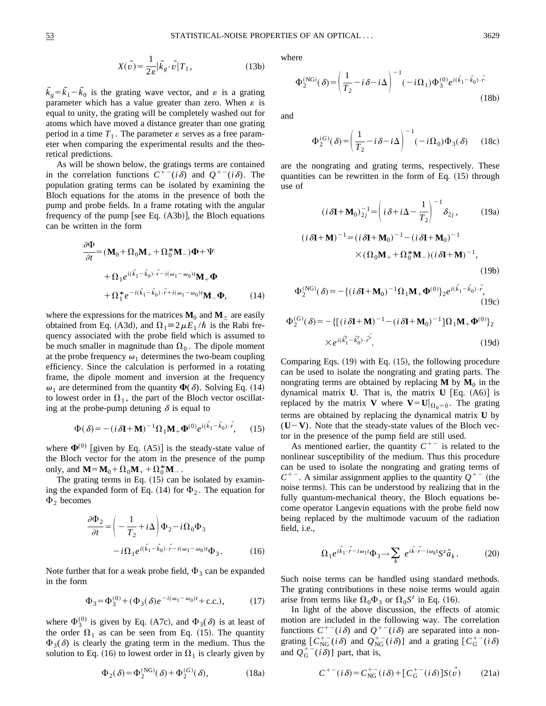$$
X(\vec{v}) = \frac{1}{2\varepsilon} |\vec{k}_g \cdot \vec{v}| T_1, \qquad (13b)
$$

 $\vec{k}_g = \vec{k}_1 - \vec{k}_0$  is the grating wave vector, and  $\varepsilon$  is a grating parameter which has a value greater than zero. When  $\varepsilon$  is equal to unity, the grating will be completely washed out for atoms which have moved a distance greater than one grating period in a time  $T_1$ . The parameter  $\varepsilon$  serves as a free parameter when comparing the experimental results and the theoretical predictions.

As will be shown below, the gratings terms are contained in the correlation functions  $C^{+-}(i\delta)$  and  $Q^{+-}(i\delta)$ . The population grating terms can be isolated by examining the Bloch equations for the atoms in the presence of both the pump and probe fields. In a frame rotating with the angular frequency of the pump [see Eq.  $(A3b)$ ], the Bloch equations can be written in the form

$$
\frac{\partial \Phi}{\partial t} = (\mathbf{M}_0 + \Omega_0 \mathbf{M}_+ + \Omega_0^* \mathbf{M}_-) \Phi + \Psi
$$
  
+ 
$$
\Omega_1 e^{i(\vec{k}_1 - \vec{k}_0) \cdot \vec{r} - i(\omega_1 - \omega_0)t} \mathbf{M}_+ \Phi
$$
  
+ 
$$
\Omega_1^* e^{-i(\vec{k}_1 - \vec{k}_0) \cdot \vec{r} + i(\omega_1 - \omega_0)t} \mathbf{M}_- \Phi,
$$
 (14)

where the expressions for the matrices  $M_0$  and  $M_{\pm}$  are easily obtained from Eq. (A3d), and  $\Omega_1 \equiv 2 \mu E_1 / \hbar$  is the Rabi frequency associated with the probe field which is assumed to be much smaller in magnitude than  $\Omega_0$ . The dipole moment at the probe frequency  $\omega_1$  determines the two-beam coupling efficiency. Since the calculation is performed in a rotating frame, the dipole moment and inversion at the frequency  $\omega_1$  are determined from the quantity  $\Phi(\delta)$ . Solving Eq. (14) to lowest order in  $\Omega_1$ , the part of the Bloch vector oscillating at the probe-pump detuning  $\delta$  is equal to

$$
\Phi(\delta) = -(i \,\delta \mathbf{I} + \mathbf{M})^{-1} \Omega_1 \mathbf{M}_+ \Phi^{(0)} e^{i(k_1 - k_0) \cdot r},\qquad(15)
$$

where  $\Phi^{(0)}$  [given by Eq. (A5)] is the steady-state value of the Bloch vector for the atom in the presence of the pump only, and  $M = M_0 + \Omega_0 M_+ + \Omega_0^* M_-$ .

The grating terms in Eq.  $(15)$  can be isolated by examining the expanded form of Eq. (14) for  $\Phi_2$ . The equation for  $\Phi_2$  becomes

$$
\frac{\partial \Phi_2}{\partial t} = \left( -\frac{1}{T_2} + i\Delta \right) \Phi_2 - i\Omega_0 \Phi_3
$$

$$
-i\Omega_1 e^{i(\vec{k}_1 - \vec{k}_0) \cdot \vec{r} - i(\omega_1 - \omega_0)t} \Phi_3.
$$
(16)

Note further that for a weak probe field,  $\Phi_3$  can be expanded in the form

$$
\Phi_3 = \Phi_3^{(0)} + (\Phi_3(\delta)e^{-i(\omega_1 - \omega_0)t} + \text{c.c.}),\tag{17}
$$

where  $\Phi_3^{(0)}$  is given by Eq. (A7c), and  $\Phi_3(\delta)$  is at least of the order  $\Omega_1$  as can be seen from Eq. (15). The quantity  $\Phi_3(\delta)$  is clearly the grating term in the medium. Thus the solution to Eq. (16) to lowest order in  $\Omega_1$  is clearly given by

$$
\Phi_2(\delta) = \Phi_2^{(NG)}(\delta) + \Phi_2^{(G)}(\delta),\tag{18a}
$$

where

$$
\Phi_2^{(NG)}(\delta) = \left(\frac{1}{T_2} - i\delta - i\Delta\right)^{-1} (-i\Omega_1) \Phi_3^{(0)} e^{i(\vec{k}_1 - \vec{k}_0) \cdot \vec{r}} \tag{18b}
$$

and

$$
\Phi_2^{(G)}(\delta) = \left(\frac{1}{T_2} - i\,\delta - i\,\Delta\right)^{-1} (-i\,\Omega_0)\Phi_3(\delta) \tag{18c}
$$

are the nongrating and grating terms, respectively. These quantities can be rewritten in the form of Eq.  $(15)$  through use of

$$
(i \, \delta \mathbf{I} + \mathbf{M}_0)^{-1}_{2j} = \left( i \delta + i \Delta - \frac{1}{T_2} \right)^{-1} \delta_{2j}, \qquad (19a)
$$

$$
(i \, \delta \mathbf{I} + \mathbf{M})^{-1} = (i \, \delta \mathbf{I} + \mathbf{M}_0)^{-1} - (i \, \delta \mathbf{I} + \mathbf{M}_0)^{-1}
$$

$$
\times (\Omega_0 \mathbf{M}_+ + \Omega_0^* \mathbf{M}_-)(i \, \delta \mathbf{I} + \mathbf{M})^{-1}, \qquad (19b)
$$

$$
\Phi_2^{(NG)}(\delta) = -\{(i\,\delta\mathbf{I} + \mathbf{M}_0)^{-1}\Omega_1\mathbf{M}_+ \mathbf{\Phi}^{(0)}\}_2 e^{i(\vec{k}_1 - \vec{k}_0) \cdot \vec{r}},\tag{19c}
$$

$$
\Phi_2^{(G)}(\delta) = -\left\{ \left[ (i\,\delta\mathbf{I} + \mathbf{M})^{-1} - (i\,\delta\mathbf{I} + \mathbf{M}_0)^{-1} \right] \Omega_1 \mathbf{M}_+ \Phi^{(0)} \right\}_2
$$
  
 
$$
\times e^{i(\vec{k}_1^r - \vec{k}_0^r) \cdot \vec{r}^r}.
$$
 (19d)

Comparing Eqs.  $(19)$  with Eq.  $(15)$ , the following procedure can be used to isolate the nongrating and grating parts. The nongrating terms are obtained by replacing  $M$  by  $M_0$  in the dynamical matrix **U**. That is, the matrix **U** [Eq.  $(A6)$ ] is replaced by the matrix **V** where  $V = U|_{\Omega_0=0}$ . The grating terms are obtained by replacing the dynamical matrix **U** by  $(U-V)$ . Note that the steady-state values of the Bloch vector in the presence of the pump field are still used.

As mentioned earlier, the quantity  $C^{+-}$  is related to the nonlinear susceptibility of the medium. Thus this procedure can be used to isolate the nongrating and grating terms of  $C^{+-}$ . A similar assignment applies to the quantity  $Q^{+-}$  (the noise terms). This can be understood by realizing that in the fully quantum-mechanical theory, the Bloch equations become operator Langevin equations with the probe field now being replaced by the multimode vacuum of the radiation field, i.e.,

$$
\Omega_1 e^{i\vec{k}_1 \cdot \vec{r} - i\omega_1 t} \Phi_3 \to \sum_k e^{i\vec{k} \cdot \vec{r} - i\omega_k t} S^z \hat{a}_k. \tag{20}
$$

Such noise terms can be handled using standard methods. The grating contributions in these noise terms would again arise from terms like  $\Omega_0\Phi_3$  or  $\Omega_0S^z$  in Eq. (16).

In light of the above discussion, the effects of atomic motion are included in the following way. The correlation functions  $C^{+-}(i\delta)$  and  $Q^{+-}(i\delta)$  are separated into a nongrating  $[C_{NG}^{+-}(i\delta)$  and  $Q_{NG}^{+-}(i\delta)]$  and a grating  $[C_{G}^{+-}(i\delta)]$ and  $Q_G^{+-}(i\delta)$ ] part, that is,

$$
C^{+-}(i\delta) = C_{\text{NG}}^{+-}(i\delta) + [C_G^{+-}(i\delta)]S(\vec{v}) \tag{21a}
$$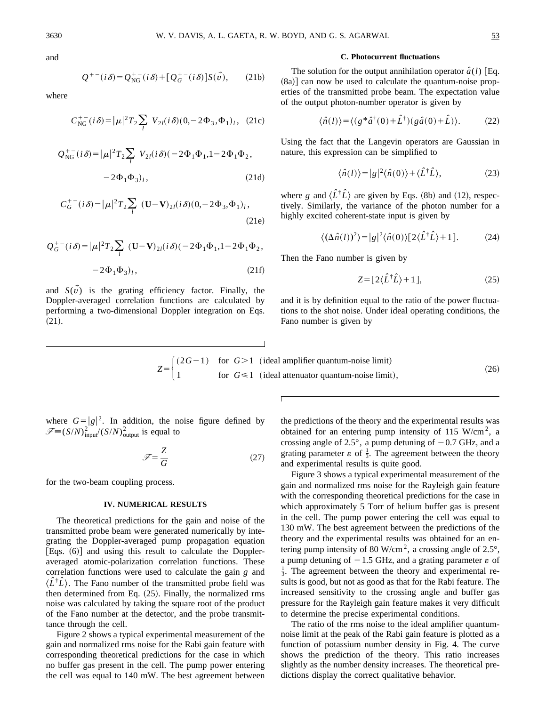and

$$
Q^{+-}(i\delta) = Q_{\text{NG}}^{+-}(i\delta) + [Q_G^{+-}(i\delta)]S(\vec{v}), \quad (21b)
$$

where

$$
C_{\rm NG}^{+-}(i\delta) = |\mu|^2 T_2 \sum_l V_{2l}(i\delta)(0, -2\Phi_3, \Phi_1)_l, (21c)
$$

$$
Q_{\rm NG}^{+-}(i\delta) = |\mu|^2 T_2 \sum_l V_{2l}(i\delta) (-2\Phi_1 \Phi_1, 1 - 2\Phi_1 \Phi_2, -2\Phi_1 \Phi_3)_l,
$$
 (21d)

$$
C_G^{+-}(i\delta) = |\mu|^2 T_2 \sum_l (\mathbf{U} - \mathbf{V})_{2l} (i\delta) (0, -2\Phi_3, \Phi_1)_l,
$$
\n(21e)

$$
Q_G^{+-}(i\delta) = |\mu|^2 T_2 \sum_l (\mathbf{U} - \mathbf{V})_{2l}(i\delta) (-2\Phi_1 \Phi_1, 1 - 2\Phi_1 \Phi_2,
$$

$$
-2\Phi_1\Phi_3)_l,\t(21f)
$$

and  $S(\vec{v})$  is the grating efficiency factor. Finally, the Doppler-averaged correlation functions are calculated by performing a two-dimensional Doppler integration on Eqs.  $(21).$ 

#### **C. Photocurrent fluctuations**

The solution for the output annihilation operator  $\hat{a}(l)$  [Eq.  $(8a)$ ] can now be used to calculate the quantum-noise properties of the transmitted probe beam. The expectation value of the output photon-number operator is given by

$$
\langle \hat{n}(l) \rangle = \langle (g * \hat{a}^{\dagger}(0) + \hat{L}^{\dagger})(g \hat{a}(0) + \hat{L}) \rangle. \tag{22}
$$

Using the fact that the Langevin operators are Gaussian in nature, this expression can be simplified to

$$
\langle \hat{n}(l) \rangle = |g|^2 \langle \hat{n}(0) \rangle + \langle \hat{L}^\dagger \hat{L} \rangle, \tag{23}
$$

where *g* and  $\langle \hat{L}^{\dagger} \hat{L} \rangle$  are given by Eqs. (8b) and (12), respectively. Similarly, the variance of the photon number for a highly excited coherent-state input is given by

$$
\langle (\Delta \hat{n}(l))^2 \rangle = |g|^2 \langle \hat{n}(0) \rangle [2 \langle \hat{L}^\dagger \hat{L} \rangle + 1]. \tag{24}
$$

Then the Fano number is given by

$$
Z = [2\langle \hat{L}^{\dagger} \hat{L} \rangle + 1], \tag{25}
$$

and it is by definition equal to the ratio of the power fluctuations to the shot noise. Under ideal operating conditions, the Fano number is given by

$$
Z = \begin{cases} (2G-1) & \text{for } G > 1 \\ 1 & \text{for } G \le 1 \end{cases}
$$
 (ideal amplifier quantum-noise limit), (26)

where  $G = |g|^2$ . In addition, the noise figure defined by  $\mathscr{F} = (S/N)^2$ <sub>input</sub> $((S/N)^2)$ <sub>output</sub> is equal to

$$
\mathcal{F} = \frac{Z}{G} \tag{27}
$$

for the two-beam coupling process.

# **IV. NUMERICAL RESULTS**

The theoretical predictions for the gain and noise of the transmitted probe beam were generated numerically by integrating the Doppler-averaged pump propagation equation  $[Eqs. (6)]$  and using this result to calculate the Doppleraveraged atomic-polarization correlation functions. These correlation functions were used to calculate the gain *g* and  $\langle \hat{L}^{\dagger} \hat{L} \rangle$ . The Fano number of the transmitted probe field was then determined from Eq.  $(25)$ . Finally, the normalized rms noise was calculated by taking the square root of the product of the Fano number at the detector, and the probe transmittance through the cell.

Figure 2 shows a typical experimental measurement of the gain and normalized rms noise for the Rabi gain feature with corresponding theoretical predictions for the case in which no buffer gas present in the cell. The pump power entering the cell was equal to 140 mW. The best agreement between the predictions of the theory and the experimental results was obtained for an entering pump intensity of 115 W/cm<sup>2</sup>, a crossing angle of 2.5°, a pump detuning of  $-0.7$  GHz, and a grating parameter  $\varepsilon$  of  $\frac{1}{3}$ . The agreement between the theory and experimental results is quite good.

Figure 3 shows a typical experimental measurement of the gain and normalized rms noise for the Rayleigh gain feature with the corresponding theoretical predictions for the case in which approximately 5 Torr of helium buffer gas is present in the cell. The pump power entering the cell was equal to 130 mW. The best agreement between the predictions of the theory and the experimental results was obtained for an entering pump intensity of 80 W/cm<sup>2</sup>, a crossing angle of  $2.5^{\circ}$ , a pump detuning of  $-1.5$  GHz, and a grating parameter  $\varepsilon$  of  $\frac{1}{3}$ . The agreement between the theory and experimental results is good, but not as good as that for the Rabi feature. The increased sensitivity to the crossing angle and buffer gas pressure for the Rayleigh gain feature makes it very difficult to determine the precise experimental conditions.

The ratio of the rms noise to the ideal amplifier quantumnoise limit at the peak of the Rabi gain feature is plotted as a function of potassium number density in Fig. 4. The curve shows the prediction of the theory. This ratio increases slightly as the number density increases. The theoretical predictions display the correct qualitative behavior.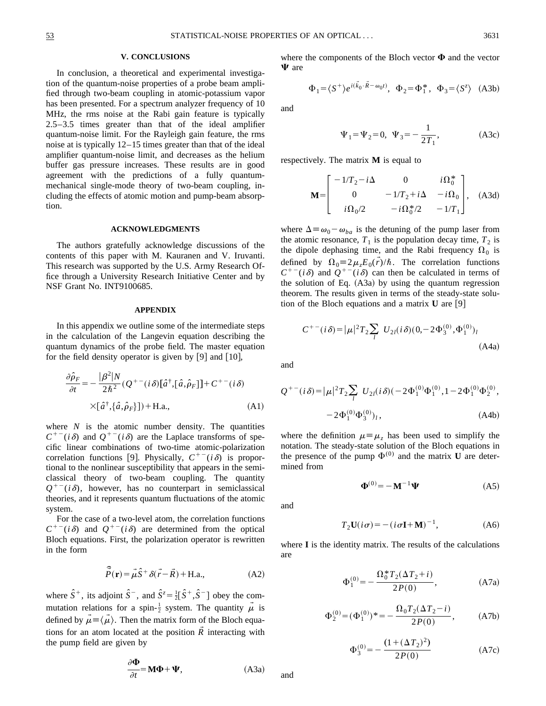### **V. CONCLUSIONS**

In conclusion, a theoretical and experimental investigation of the quantum-noise properties of a probe beam amplified through two-beam coupling in atomic-potassium vapor has been presented. For a spectrum analyzer frequency of 10 MHz, the rms noise at the Rabi gain feature is typically 2.5–3.5 times greater than that of the ideal amplifier quantum-noise limit. For the Rayleigh gain feature, the rms noise at is typically 12–15 times greater than that of the ideal amplifier quantum-noise limit, and decreases as the helium buffer gas pressure increases. These results are in good agreement with the predictions of a fully quantummechanical single-mode theory of two-beam coupling, including the effects of atomic motion and pump-beam absorption.

### **ACKNOWLEDGMENTS**

The authors gratefully acknowledge discussions of the contents of this paper with M. Kauranen and V. Iruvanti. This research was supported by the U.S. Army Research Office through a University Research Initiative Center and by NSF Grant No. INT9100685.

### **APPENDIX**

In this appendix we outline some of the intermediate steps in the calculation of the Langevin equation describing the quantum dynamics of the probe field. The master equation for the field density operator is given by  $[9]$  and  $[10]$ ,

$$
\frac{\partial \hat{\rho}_F}{\partial t} = -\frac{|\beta^2|N}{2\hbar^2} (Q^{+-}(i\delta)[\hat{a}^\dagger, [\hat{a}, \hat{\rho}_F]] + C^{+-}(i\delta)
$$

$$
\times [\hat{a}^\dagger, \{\hat{a}, \hat{\rho}_F\}]) + \text{H.a.,}
$$
(A1)

where  $N$  is the atomic number density. The quantities  $C^{+-}(i\delta)$  and  $Q^{+-}(i\delta)$  are the Laplace transforms of specific linear combinations of two-time atomic-polarization correlation functions [9]. Physically,  $C^{+-}(i\delta)$  is proportional to the nonlinear susceptibility that appears in the semiclassical theory of two-beam coupling. The quantity  $Q^{+-}(i\delta)$ , however, has no counterpart in semiclassical theories, and it represents quantum fluctuations of the atomic system.

For the case of a two-level atom, the correlation functions  $C^{+-}(i\delta)$  and  $Q^{+-}(i\delta)$  are determined from the optical Bloch equations. First, the polarization operator is rewritten in the form

$$
\hat{\vec{P}}(\mathbf{r}) = \vec{\mu}\hat{S}^+ \delta(\vec{r} - \vec{R}) + \text{H.a.,}
$$
 (A2)

where  $\hat{S}^+$ , its adjoint  $\hat{S}^-$ , and  $\hat{S}^z = \frac{1}{2} [\hat{S}^+, \hat{S}^-]$  obey the commutation relations for a spin- $\frac{1}{2}$  system. The quantity  $\vec{\mu}$  is defined by  $\mu = \langle \mu \rangle$ . Then the matrix form of the Bloch equations for an atom located at the position  $\vec{R}$  interacting with the pump field are given by

$$
\frac{\partial \Phi}{\partial t} = \mathbf{M}\Phi + \Psi,
$$
 (A3a)

where the components of the Bloch vector  $\Phi$  and the vector  $\Psi$  are

$$
\Phi_1 = \langle S^+ \rangle e^{i(\vec{k}_0 \cdot \vec{R} - \omega_0 t)}, \Phi_2 = \Phi_1^*, \Phi_3 = \langle S^z \rangle
$$
 (A3b)

and

$$
\Psi_1 = \Psi_2 = 0, \ \Psi_3 = -\frac{1}{2T_1},
$$
\n(A3c)

respectively. The matrix **M** is equal to

$$
\mathbf{M} = \begin{bmatrix} -1/T_2 - i\Delta & 0 & i\Omega_0^* \\ 0 & -1/T_2 + i\Delta & -i\Omega_0 \\ i\Omega_0/2 & -i\Omega_0^*/2 & -1/T_1 \end{bmatrix}, \quad \text{(A3d)}
$$

where  $\Delta \equiv \omega_0 - \omega_{ba}$  is the detuning of the pump laser from the atomic resonance,  $T_1$  is the population decay time,  $T_2$  is the dipole dephasing time, and the Rabi frequency  $\Omega_0$  is defined by  $\Omega_0 = 2\mu_z E_0(\vec{r})/\hbar$ . The correlation functions  $C^{+-}(i\delta)$  and  $Q^{+-}(i\delta)$  can then be calculated in terms of the solution of Eq.  $(A3a)$  by using the quantum regression theorem. The results given in terms of the steady-state solution of the Bloch equations and a matrix  $\bf{U}$  are  $[9]$ 

$$
C^{+-}(i\delta) = |\mu|^2 T_2 \sum_l U_{2l}(i\delta)(0, -2\Phi_3^{(0)}, \Phi_1^{(0)})_l
$$
\n(A4a)

and

$$
Q^{+-}(i\delta) = |\mu|^2 T_2 \sum_{l} U_{2l}(i\delta) (-2\Phi_1^{(0)} \Phi_1^{(0)}, 1 - 2\Phi_1^{(0)} \Phi_2^{(0)},
$$
  

$$
-2\Phi_1^{(0)} \Phi_3^{(0)}\Big)_l,
$$
 (A4b)

where the definition  $\mu \equiv \mu_z$  has been used to simplify the notation. The steady-state solution of the Bloch equations in the presence of the pump  $\Phi^{(0)}$  and the matrix **U** are determined from

$$
\mathbf{\Phi}^{(0)} = -\mathbf{M}^{-1}\mathbf{\Psi} \tag{A5}
$$

and

and

$$
T_2\mathbf{U}(i\sigma) = -(i\sigma\mathbf{I} + \mathbf{M})^{-1},\tag{A6}
$$

where **I** is the identity matrix. The results of the calculations are

$$
\Phi_1^{(0)} = -\frac{\Omega_0^* T_2 (\Delta T_2 + i)}{2P(0)},
$$
\n(A7a)

$$
\Phi_2^{(0)} = (\Phi_1^{(0)})^* = -\frac{\Omega_0 T_2 (\Delta T_2 - i)}{2P(0)},
$$
 (A7b)

$$
\Phi_3^{(0)} = -\frac{(1 + (\Delta T_2)^2)}{2P(0)}\tag{A7c}
$$